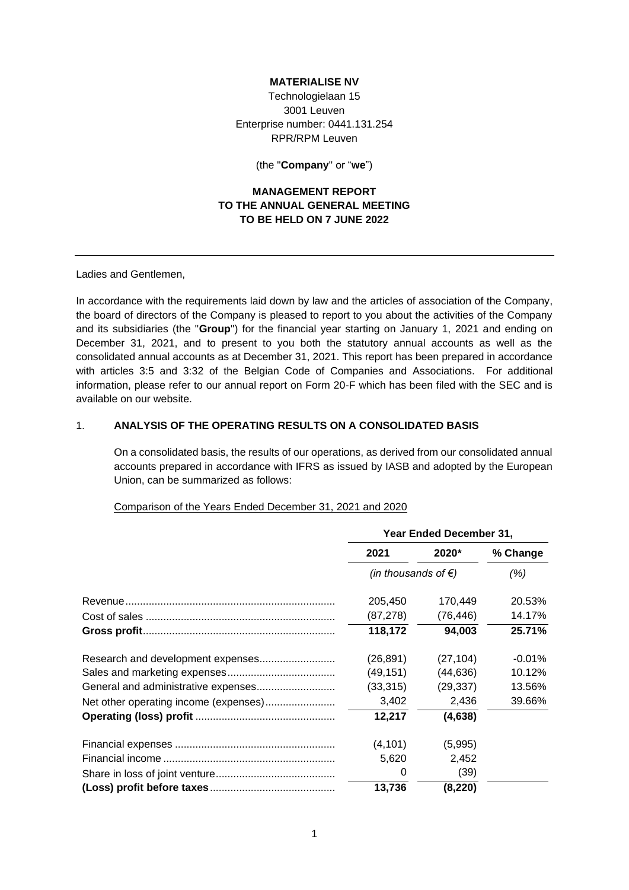### **MATERIALISE NV**

Technologielaan 15 3001 Leuven Enterprise number: 0441.131.254 RPR/RPM Leuven

(the "**Company**" or "**we**")

# **MANAGEMENT REPORT TO THE ANNUAL GENERAL MEETING TO BE HELD ON 7 JUNE 2022**

Ladies and Gentlemen,

In accordance with the requirements laid down by law and the articles of association of the Company, the board of directors of the Company is pleased to report to you about the activities of the Company and its subsidiaries (the "**Group**") for the financial year starting on January 1, 2021 and ending on December 31, 2021, and to present to you both the statutory annual accounts as well as the consolidated annual accounts as at December 31, 2021. This report has been prepared in accordance with articles 3:5 and 3:32 of the Belgian Code of Companies and Associations. For additional information, please refer to our annual report on Form 20-F which has been filed with the SEC and is available on our website.

### 1. **ANALYSIS OF THE OPERATING RESULTS ON A CONSOLIDATED BASIS**

On a consolidated basis, the results of our operations, as derived from our consolidated annual accounts prepared in accordance with IFRS as issued by IASB and adopted by the European Union, can be summarized as follows:

### Comparison of the Years Ended December 31, 2021 and 2020

|                                       | Year Ended December 31,       |           |           |
|---------------------------------------|-------------------------------|-----------|-----------|
|                                       | 2021                          | 2020*     | % Change  |
|                                       | (in thousands of $\epsilon$ ) |           | (%)       |
|                                       | 205,450                       | 170,449   | 20.53%    |
|                                       | (87, 278)                     | (76, 446) | 14.17%    |
|                                       | 118.172                       | 94,003    | 25.71%    |
|                                       | (26, 891)                     | (27, 104) | $-0.01\%$ |
|                                       | (49, 151)                     | (44, 636) | 10.12%    |
|                                       | (33, 315)                     | (29, 337) | 13.56%    |
| Net other operating income (expenses) | 3,402                         | 2,436     | 39.66%    |
|                                       | 12,217                        | (4,638)   |           |
|                                       | (4, 101)                      | (5,995)   |           |
|                                       | 5,620                         | 2,452     |           |
|                                       | 0                             | (39)      |           |
|                                       | 13,736                        | (8, 220)  |           |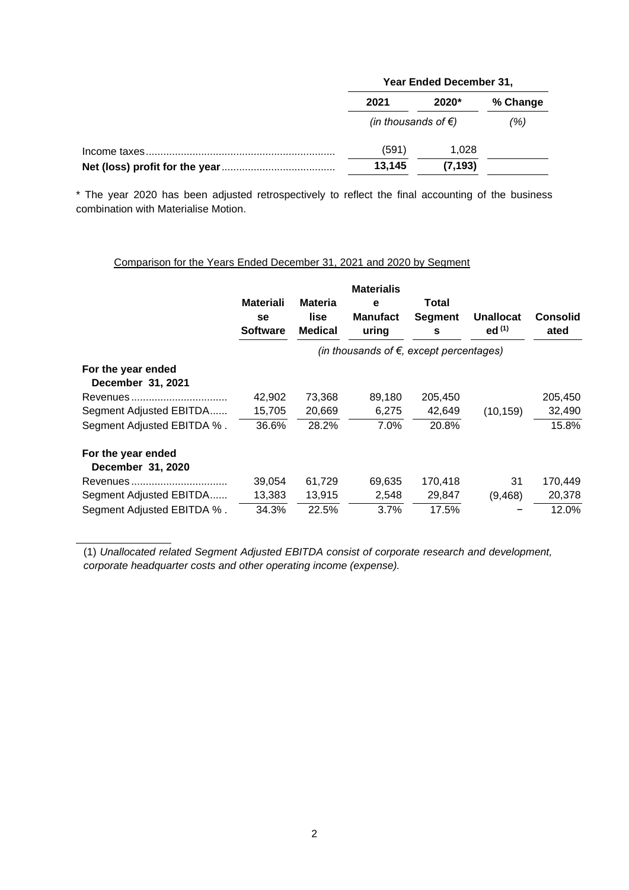| Year Ended December 31,       |          |          |
|-------------------------------|----------|----------|
| 2021                          | $2020*$  | % Change |
| (in thousands of $\epsilon$ ) |          | (%)      |
| (591)                         | 1.028    |          |
| 13,145                        | (7, 193) |          |

\* The year 2020 has been adjusted retrospectively to reflect the final accounting of the business combination with Materialise Motion.

|                                         | <b>Materiali</b><br>se<br><b>Software</b> | <b>Materia</b><br>lise<br><b>Medical</b> | <b>Materialis</b><br>e<br>Manufact<br>uring       | Total<br><b>Segment</b><br>s | <b>Unallocat</b><br>ed $(1)$ | <b>Consolid</b><br>ated |
|-----------------------------------------|-------------------------------------------|------------------------------------------|---------------------------------------------------|------------------------------|------------------------------|-------------------------|
|                                         |                                           |                                          | (in thousands of $\epsilon$ , except percentages) |                              |                              |                         |
| For the year ended<br>December 31, 2021 |                                           |                                          |                                                   |                              |                              |                         |
| Revenues                                | 42,902                                    | 73,368                                   | 89,180                                            | 205,450                      |                              | 205,450                 |
| Segment Adjusted EBITDA                 | 15,705                                    | 20,669                                   | 6,275                                             | 42,649                       | (10, 159)                    | 32,490                  |
| Segment Adjusted EBITDA %.              | 36.6%                                     | 28.2%                                    | 7.0%                                              | 20.8%                        |                              | 15.8%                   |
| For the year ended<br>December 31, 2020 |                                           |                                          |                                                   |                              |                              |                         |
|                                         | 39,054                                    | 61,729                                   | 69,635                                            | 170,418                      | 31                           | 170,449                 |
| Segment Adjusted EBITDA                 | 13,383                                    | 13,915                                   | 2,548                                             | 29,847                       | (9,468)                      | 20,378                  |
| Segment Adjusted EBITDA %.              | 34.3%                                     | 22.5%                                    | 3.7%                                              | 17.5%                        |                              | 12.0%                   |

Comparison for the Years Ended December 31, 2021 and 2020 by Segment

(1) *Unallocated related Segment Adjusted EBITDA consist of corporate research and development, corporate headquarter costs and other operating income (expense).*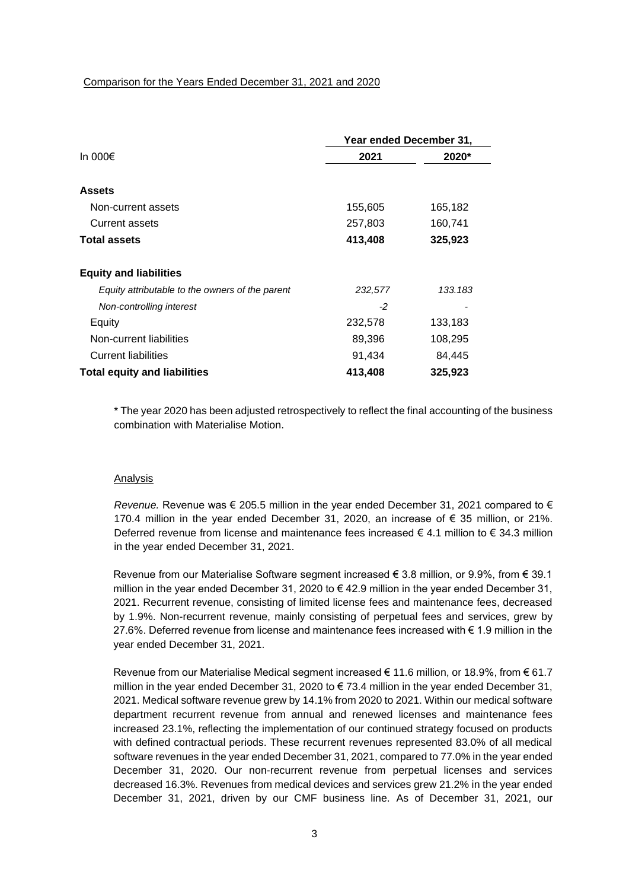|                                                 | Year ended December 31, |         |
|-------------------------------------------------|-------------------------|---------|
| In 000 $\epsilon$                               | 2021                    | 2020*   |
| <b>Assets</b>                                   |                         |         |
| Non-current assets                              | 155,605                 | 165,182 |
| <b>Current assets</b>                           | 257,803                 | 160,741 |
| <b>Total assets</b>                             | 413,408                 | 325,923 |
| <b>Equity and liabilities</b>                   |                         |         |
| Equity attributable to the owners of the parent | 232,577                 | 133.183 |
| Non-controlling interest                        | $-2$                    |         |
| Equity                                          | 232,578                 | 133,183 |
| Non-current liabilities                         | 89,396                  | 108,295 |
| <b>Current liabilities</b>                      | 91,434                  | 84,445  |
| <b>Total equity and liabilities</b>             | 413,408                 | 325,923 |

\* The year 2020 has been adjusted retrospectively to reflect the final accounting of the business combination with Materialise Motion.

### Analysis

*Revenue.* Revenue was  $\epsilon$  205.5 million in the year ended December 31, 2021 compared to  $\epsilon$ 170.4 million in the year ended December 31, 2020, an increase of € 35 million, or 21%. Deferred revenue from license and maintenance fees increased  $\epsilon$  4.1 million to  $\epsilon$  34.3 million in the year ended December 31, 2021.

Revenue from our Materialise Software segment increased € 3.8 million, or 9.9%, from € 39.1 million in the year ended December 31, 2020 to  $\epsilon$  42.9 million in the year ended December 31, 2021. Recurrent revenue, consisting of limited license fees and maintenance fees, decreased by 1.9%. Non-recurrent revenue, mainly consisting of perpetual fees and services, grew by 27.6%. Deferred revenue from license and maintenance fees increased with € 1.9 million in the year ended December 31, 2021.

Revenue from our Materialise Medical segment increased € 11.6 million, or 18.9%, from € 61.7 million in the year ended December 31, 2020 to  $\epsilon$  73.4 million in the year ended December 31, 2021. Medical software revenue grew by 14.1% from 2020 to 2021. Within our medical software department recurrent revenue from annual and renewed licenses and maintenance fees increased 23.1%, reflecting the implementation of our continued strategy focused on products with defined contractual periods. These recurrent revenues represented 83.0% of all medical software revenues in the year ended December 31, 2021, compared to 77.0% in the year ended December 31, 2020. Our non-recurrent revenue from perpetual licenses and services decreased 16.3%. Revenues from medical devices and services grew 21.2% in the year ended December 31, 2021, driven by our CMF business line. As of December 31, 2021, our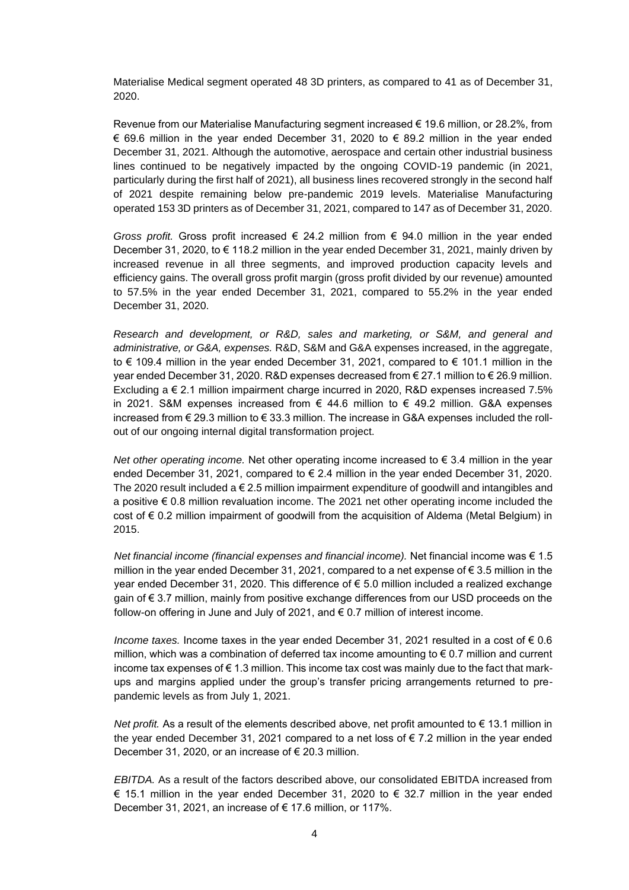Materialise Medical segment operated 48 3D printers, as compared to 41 as of December 31, 2020.

Revenue from our Materialise Manufacturing segment increased € 19.6 million, or 28.2%, from € 69.6 million in the year ended December 31, 2020 to € 89.2 million in the year ended December 31, 2021. Although the automotive, aerospace and certain other industrial business lines continued to be negatively impacted by the ongoing COVID-19 pandemic (in 2021, particularly during the first half of 2021), all business lines recovered strongly in the second half of 2021 despite remaining below pre-pandemic 2019 levels. Materialise Manufacturing operated 153 3D printers as of December 31, 2021, compared to 147 as of December 31, 2020.

*Gross profit.* Gross profit increased  $\epsilon$  24.2 million from  $\epsilon$  94.0 million in the year ended December 31, 2020, to € 118.2 million in the year ended December 31, 2021, mainly driven by increased revenue in all three segments, and improved production capacity levels and efficiency gains. The overall gross profit margin (gross profit divided by our revenue) amounted to 57.5% in the year ended December 31, 2021, compared to 55.2% in the year ended December 31, 2020.

*Research and development, or R&D, sales and marketing, or S&M, and general and administrative, or G&A, expenses.* R&D, S&M and G&A expenses increased, in the aggregate, to € 109.4 million in the year ended December 31, 2021, compared to € 101.1 million in the year ended December 31, 2020. R&D expenses decreased from € 27.1 million to € 26.9 million. Excluding a € 2.1 million impairment charge incurred in 2020, R&D expenses increased 7.5% in 2021. S&M expenses increased from € 44.6 million to € 49.2 million. G&A expenses increased from  $\epsilon$  29.3 million to  $\epsilon$  33.3 million. The increase in G&A expenses included the rollout of our ongoing internal digital transformation project.

*Net other operating income.* Net other operating income increased to  $\epsilon$  3.4 million in the year ended December 31, 2021, compared to  $\epsilon$  2.4 million in the year ended December 31, 2020. The 2020 result included a  $\epsilon$  2.5 million impairment expenditure of goodwill and intangibles and a positive € 0.8 million revaluation income. The 2021 net other operating income included the cost of € 0.2 million impairment of goodwill from the acquisition of Aldema (Metal Belgium) in 2015.

*Net financial income (financial expenses and financial income).* Net financial income was € 1.5 million in the year ended December 31, 2021, compared to a net expense of  $\epsilon$  3.5 million in the year ended December 31, 2020. This difference of  $\epsilon$  5.0 million included a realized exchange gain of € 3.7 million, mainly from positive exchange differences from our USD proceeds on the follow-on offering in June and July of 2021, and € 0.7 million of interest income.

*Income taxes.* Income taxes in the year ended December 31, 2021 resulted in a cost of  $\epsilon$  0.6 million, which was a combination of deferred tax income amounting to  $\epsilon$  0.7 million and current income tax expenses of  $\epsilon$  1.3 million. This income tax cost was mainly due to the fact that markups and margins applied under the group's transfer pricing arrangements returned to prepandemic levels as from July 1, 2021.

*Net profit.* As a result of the elements described above, net profit amounted to € 13.1 million in the year ended December 31, 2021 compared to a net loss of  $\epsilon$  7.2 million in the year ended December 31, 2020, or an increase of  $\epsilon$  20.3 million.

*EBITDA.* As a result of the factors described above, our consolidated EBITDA increased from € 15.1 million in the year ended December 31, 2020 to  $\epsilon$  32.7 million in the year ended December 31, 2021, an increase of € 17.6 million, or 117%.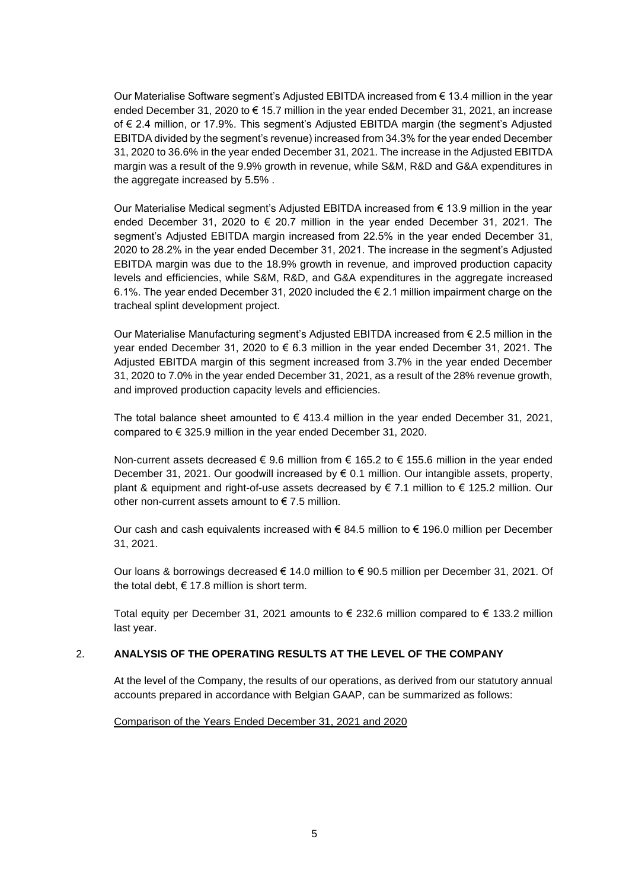Our Materialise Software segment's Adjusted EBITDA increased from € 13.4 million in the year ended December 31, 2020 to € 15.7 million in the year ended December 31, 2021, an increase of € 2.4 million, or 17.9%. This segment's Adjusted EBITDA margin (the segment's Adjusted EBITDA divided by the segment's revenue) increased from 34.3% for the year ended December 31, 2020 to 36.6% in the year ended December 31, 2021. The increase in the Adjusted EBITDA margin was a result of the 9.9% growth in revenue, while S&M, R&D and G&A expenditures in the aggregate increased by 5.5% .

Our Materialise Medical segment's Adjusted EBITDA increased from € 13.9 million in the year ended December 31, 2020 to  $\epsilon$  20.7 million in the year ended December 31, 2021. The segment's Adjusted EBITDA margin increased from 22.5% in the year ended December 31, 2020 to 28.2% in the year ended December 31, 2021. The increase in the segment's Adjusted EBITDA margin was due to the 18.9% growth in revenue, and improved production capacity levels and efficiencies, while S&M, R&D, and G&A expenditures in the aggregate increased 6.1%. The year ended December 31, 2020 included the  $\epsilon$  2.1 million impairment charge on the tracheal splint development project.

Our Materialise Manufacturing segment's Adjusted EBITDA increased from € 2.5 million in the year ended December 31, 2020 to € 6.3 million in the year ended December 31, 2021. The Adjusted EBITDA margin of this segment increased from 3.7% in the year ended December 31, 2020 to 7.0% in the year ended December 31, 2021, as a result of the 28% revenue growth, and improved production capacity levels and efficiencies.

The total balance sheet amounted to  $\epsilon$  413.4 million in the year ended December 31, 2021, compared to € 325.9 million in the year ended December 31, 2020.

Non-current assets decreased € 9.6 million from € 165.2 to € 155.6 million in the year ended December 31, 2021. Our goodwill increased by € 0.1 million. Our intangible assets, property, plant & equipment and right-of-use assets decreased by € 7.1 million to € 125.2 million. Our other non-current assets amount to  $\epsilon$  7.5 million.

Our cash and cash equivalents increased with  $\epsilon$  84.5 million to  $\epsilon$  196.0 million per December 31, 2021.

Our loans & borrowings decreased € 14.0 million to € 90.5 million per December 31, 2021. Of the total debt,  $\epsilon$  17.8 million is short term.

Total equity per December 31, 2021 amounts to  $\epsilon$  232.6 million compared to  $\epsilon$  133.2 million last year.

## 2. **ANALYSIS OF THE OPERATING RESULTS AT THE LEVEL OF THE COMPANY**

At the level of the Company, the results of our operations, as derived from our statutory annual accounts prepared in accordance with Belgian GAAP, can be summarized as follows:

Comparison of the Years Ended December 31, 2021 and 2020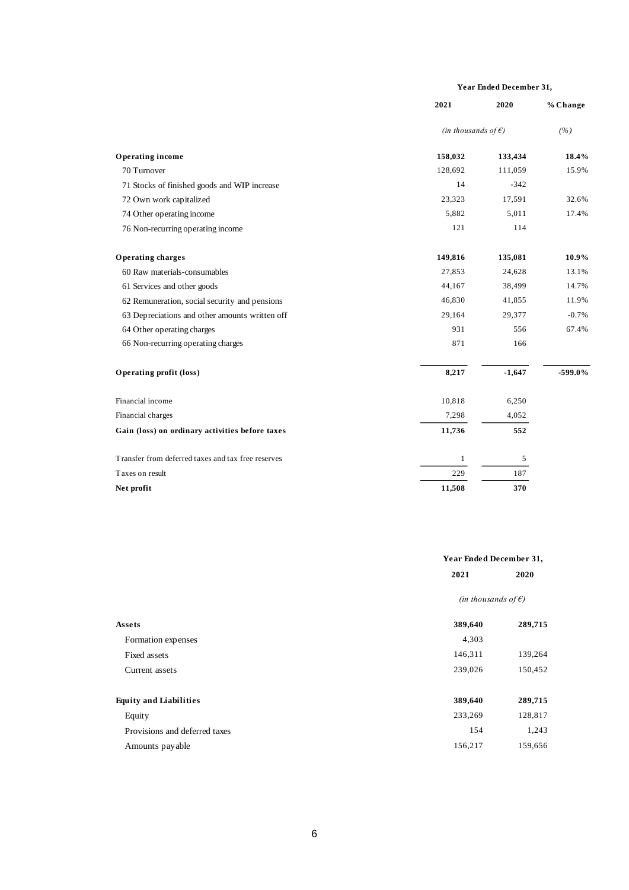#### **Year Ended December 31,**

|                                                    | 2021                          | 2020     | % Change  |
|----------------------------------------------------|-------------------------------|----------|-----------|
|                                                    | (in thousands of $\epsilon$ ) |          | (%)       |
| Operating income                                   | 158,032                       | 133,434  | 18.4%     |
| 70 Turnover                                        | 128,692                       | 111,059  | 15.9%     |
| 71 Stocks of finished goods and WIP increase       | 14                            | $-342$   |           |
| 72 Own work capitalized                            | 23,323                        | 17,591   | 32.6%     |
| 74 Other operating income                          | 5,882                         | 5,011    | 17.4%     |
| 76 Non-recurring operating income                  | 121                           | 114      |           |
| Operating charges                                  | 149,816                       | 135,081  | 10.9%     |
| 60 Raw materials-consumables                       | 27,853                        | 24,628   | 13.1%     |
| 61 Services and other goods                        | 44,167                        | 38,499   | 14.7%     |
| 62 Remuneration, social security and pensions      | 46,830                        | 41,855   | 11.9%     |
| 63 Depreciations and other amounts written off     | 29,164                        | 29,377   | $-0.7%$   |
| 64 Other operating charges                         | 931                           | 556      | 67.4%     |
| 66 Non-recurring operating charges                 | 871                           | 166      |           |
| Operating profit (loss)                            | 8,217                         | $-1,647$ | $-599.0%$ |
| Financial income                                   | 10,818                        | 6,250    |           |
| Financial charges                                  | 7,298                         | 4,052    |           |
| Gain (loss) on ordinary activities before taxes    | 11,736                        | 552      |           |
| Transfer from deferred taxes and tax free reserves | 1                             | 5        |           |
| Taxes on result                                    | 229                           | 187      |           |
| Net profit                                         | 11,508                        | 370      |           |

|                               |                               | Year Ended December 31, |  |
|-------------------------------|-------------------------------|-------------------------|--|
|                               | 2021                          | 2020                    |  |
|                               | (in thousands of $\epsilon$ ) |                         |  |
| Assets                        | 389,640                       | 289,715                 |  |
| Formation expenses            | 4,303                         |                         |  |
| Fixed assets                  | 146,311                       | 139,264                 |  |
| Current assets                | 239,026                       | 150,452                 |  |
| <b>Equity and Liabilities</b> | 389,640                       | 289,715                 |  |
| Equity                        | 233,269                       | 128,817                 |  |
| Provisions and deferred taxes | 154                           | 1,243                   |  |
| Amounts payable               | 156,217                       | 159,656                 |  |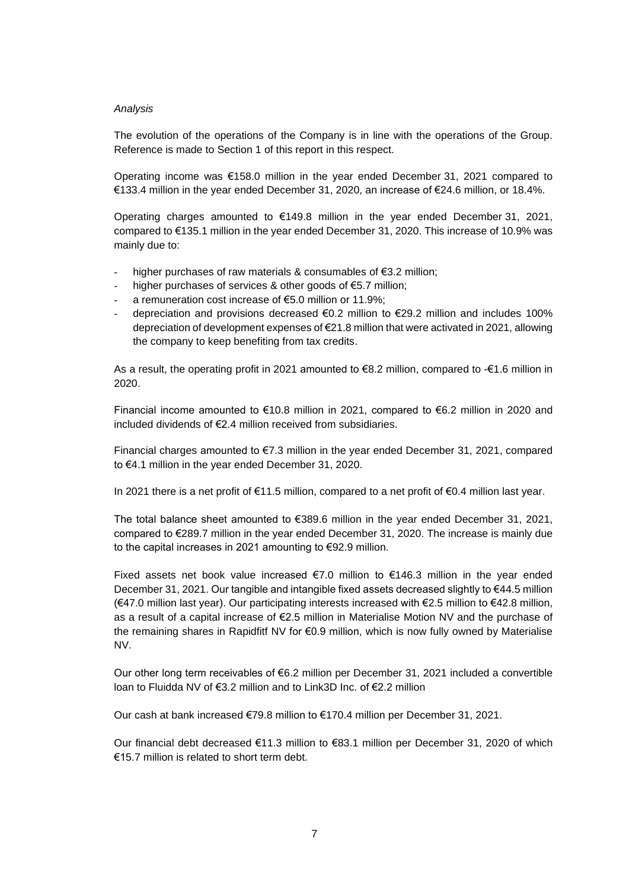### *Analysis*

The evolution of the operations of the Company is in line with the operations of the Group. Reference is made to Section 1 of this report in this respect.

Operating income was €158.0 million in the year ended December 31, 2021 compared to €133.4 million in the year ended December 31, 2020, an increase of €24.6 million, or 18.4%.

Operating charges amounted to  $€149.8$  million in the year ended December 31, 2021, compared to €135.1 million in the year ended December 31, 2020. This increase of 10.9% was mainly due to:

- higher purchases of raw materials & consumables of  $\epsilon$ 3.2 million;
- higher purchases of services & other goods of  $E5.7$  million;
- a remuneration cost increase of  $E$ 5.0 million or 11.9%;
- depreciation and provisions decreased  $\epsilon$ 0.2 million to  $\epsilon$ 29.2 million and includes 100% depreciation of development expenses of €21.8 million that were activated in 2021, allowing the company to keep benefiting from tax credits.

As a result, the operating profit in 2021 amounted to €8.2 million, compared to -€1.6 million in 2020.

Financial income amounted to €10.8 million in 2021, compared to €6.2 million in 2020 and included dividends of €2.4 million received from subsidiaries.

Financial charges amounted to €7.3 million in the year ended December 31, 2021, compared to €4.1 million in the year ended December 31, 2020.

In 2021 there is a net profit of €11.5 million, compared to a net profit of €0.4 million last year.

The total balance sheet amounted to €389.6 million in the year ended December 31, 2021, compared to €289.7 million in the year ended December 31, 2020. The increase is mainly due to the capital increases in 2021 amounting to €92.9 million.

Fixed assets net book value increased  $\epsilon$ 7.0 million to  $\epsilon$ 146.3 million in the year ended December 31, 2021. Our tangible and intangible fixed assets decreased slightly to €44.5 million (€47.0 million last year). Our participating interests increased with €2.5 million to €42.8 million, as a result of a capital increase of €2.5 million in Materialise Motion NV and the purchase of the remaining shares in Rapidfitf NV for €0.9 million, which is now fully owned by Materialise NV.

Our other long term receivables of €6.2 million per December 31, 2021 included a convertible loan to Fluidda NV of €3.2 million and to Link3D Inc. of €2.2 million

Our cash at bank increased €79.8 million to €170.4 million per December 31, 2021.

Our financial debt decreased €11.3 million to €83.1 million per December 31, 2020 of which €15.7 million is related to short term debt.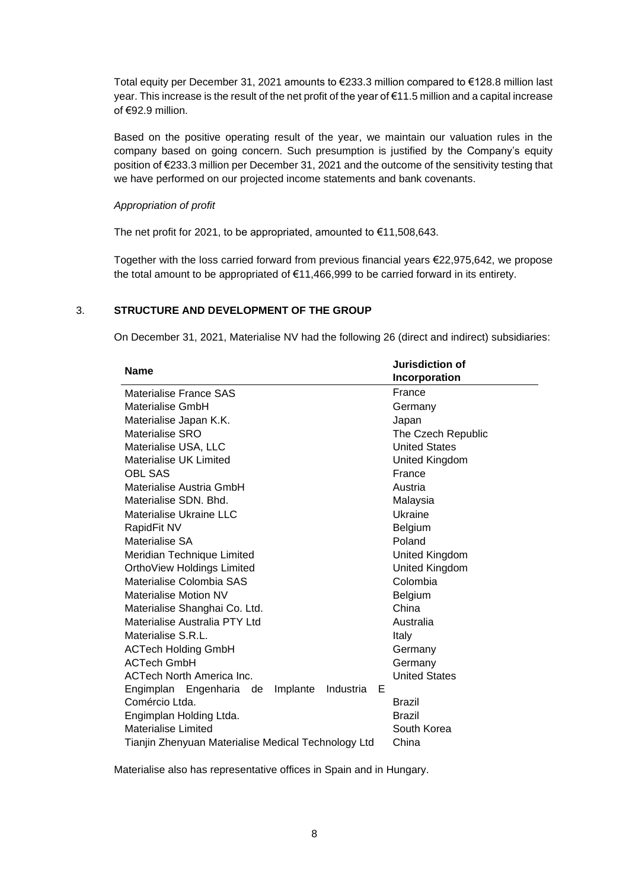Total equity per December 31, 2021 amounts to €233.3 million compared to €128.8 million last year. This increase is the result of the net profit of the year of €11.5 million and a capital increase of €92.9 million.

Based on the positive operating result of the year, we maintain our valuation rules in the company based on going concern. Such presumption is justified by the Company's equity position of €233.3 million per December 31, 2021 and the outcome of the sensitivity testing that we have performed on our projected income statements and bank covenants.

### *Appropriation of profit*

The net profit for 2021, to be appropriated, amounted to €11,508,643.

Together with the loss carried forward from previous financial years €22,975,642, we propose the total amount to be appropriated of €11,466,999 to be carried forward in its entirety.

## 3. **STRUCTURE AND DEVELOPMENT OF THE GROUP**

On December 31, 2021, Materialise NV had the following 26 (direct and indirect) subsidiaries:

| <b>Name</b>                                           | Jurisdiction of      |
|-------------------------------------------------------|----------------------|
|                                                       | Incorporation        |
| Materialise France SAS                                | France               |
| Materialise GmbH                                      | Germany              |
| Materialise Japan K.K.                                | Japan                |
| Materialise SRO                                       | The Czech Republic   |
| Materialise USA, LLC                                  | <b>United States</b> |
| Materialise UK Limited                                | United Kingdom       |
| <b>OBL SAS</b>                                        | France               |
| Materialise Austria GmbH                              | Austria              |
| Materialise SDN, Bhd.                                 | Malaysia             |
| Materialise Ukraine LLC                               | Ukraine              |
| RapidFit NV                                           | Belgium              |
| Materialise SA                                        | Poland               |
| Meridian Technique Limited                            | United Kingdom       |
| OrthoView Holdings Limited                            | United Kingdom       |
| Materialise Colombia SAS                              | Colombia             |
| Materialise Motion NV                                 | <b>Belgium</b>       |
| Materialise Shanghai Co. Ltd.                         | China                |
| Materialise Australia PTY Ltd                         | Australia            |
| Materialise S.R.L.                                    | Italy                |
| <b>ACTech Holding GmbH</b>                            | Germany              |
| <b>ACTech GmbH</b>                                    | Germany              |
| <b>ACTech North America Inc.</b>                      | <b>United States</b> |
| Engimplan Engenharia de<br>Implante<br>Industria<br>Е |                      |
| Comércio Ltda.                                        | <b>Brazil</b>        |
| Engimplan Holding Ltda.                               | Brazil               |
| Materialise Limited                                   | South Korea          |
| Tianjin Zhenyuan Materialise Medical Technology Ltd   | China                |

Materialise also has representative offices in Spain and in Hungary.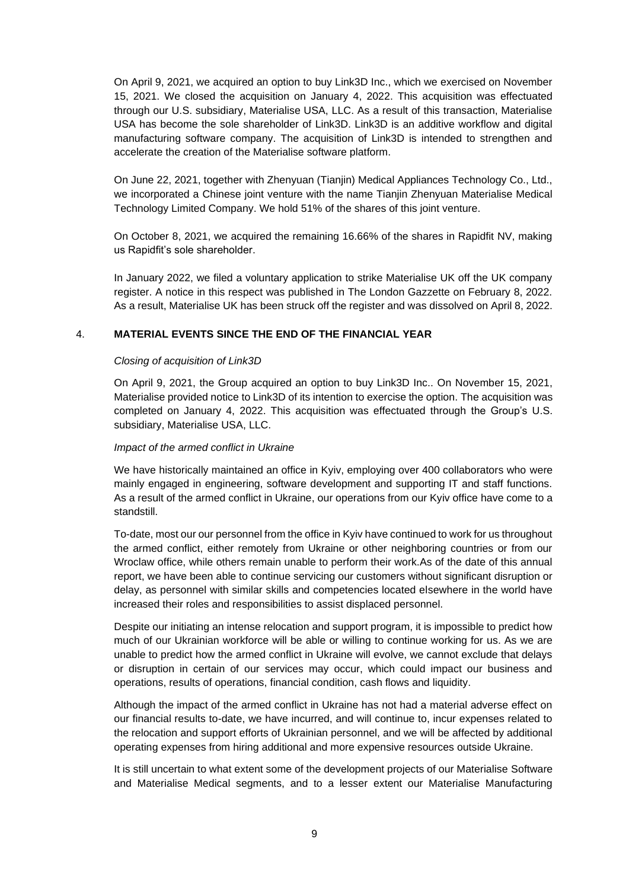On April 9, 2021, we acquired an option to buy Link3D Inc., which we exercised on November 15, 2021. We closed the acquisition on January 4, 2022. This acquisition was effectuated through our U.S. subsidiary, Materialise USA, LLC. As a result of this transaction, Materialise USA has become the sole shareholder of Link3D. Link3D is an additive workflow and digital manufacturing software company. The acquisition of Link3D is intended to strengthen and accelerate the creation of the Materialise software platform.

On June 22, 2021, together with Zhenyuan (Tianjin) Medical Appliances Technology Co., Ltd., we incorporated a Chinese joint venture with the name Tianjin Zhenyuan Materialise Medical Technology Limited Company. We hold 51% of the shares of this joint venture.

On October 8, 2021, we acquired the remaining 16.66% of the shares in Rapidfit NV, making us Rapidfit's sole shareholder.

In January 2022, we filed a voluntary application to strike Materialise UK off the UK company register. A notice in this respect was published in The London Gazzette on February 8, 2022. As a result, Materialise UK has been struck off the register and was dissolved on April 8, 2022.

## 4. **MATERIAL EVENTS SINCE THE END OF THE FINANCIAL YEAR**

### *Closing of acquisition of Link3D*

On April 9, 2021, the Group acquired an option to buy Link3D Inc.. On November 15, 2021, Materialise provided notice to Link3D of its intention to exercise the option. The acquisition was completed on January 4, 2022. This acquisition was effectuated through the Group's U.S. subsidiary, Materialise USA, LLC.

### *Impact of the armed conflict in Ukraine*

We have historically maintained an office in Kyiv, employing over 400 collaborators who were mainly engaged in engineering, software development and supporting IT and staff functions. As a result of the armed conflict in Ukraine, our operations from our Kyiv office have come to a standstill.

To-date, most our our personnel from the office in Kyiv have continued to work for us throughout the armed conflict, either remotely from Ukraine or other neighboring countries or from our Wroclaw office, while others remain unable to perform their work.As of the date of this annual report, we have been able to continue servicing our customers without significant disruption or delay, as personnel with similar skills and competencies located elsewhere in the world have increased their roles and responsibilities to assist displaced personnel.

Despite our initiating an intense relocation and support program, it is impossible to predict how much of our Ukrainian workforce will be able or willing to continue working for us. As we are unable to predict how the armed conflict in Ukraine will evolve, we cannot exclude that delays or disruption in certain of our services may occur, which could impact our business and operations, results of operations, financial condition, cash flows and liquidity.

Although the impact of the armed conflict in Ukraine has not had a material adverse effect on our financial results to-date, we have incurred, and will continue to, incur expenses related to the relocation and support efforts of Ukrainian personnel, and we will be affected by additional operating expenses from hiring additional and more expensive resources outside Ukraine.

It is still uncertain to what extent some of the development projects of our Materialise Software and Materialise Medical segments, and to a lesser extent our Materialise Manufacturing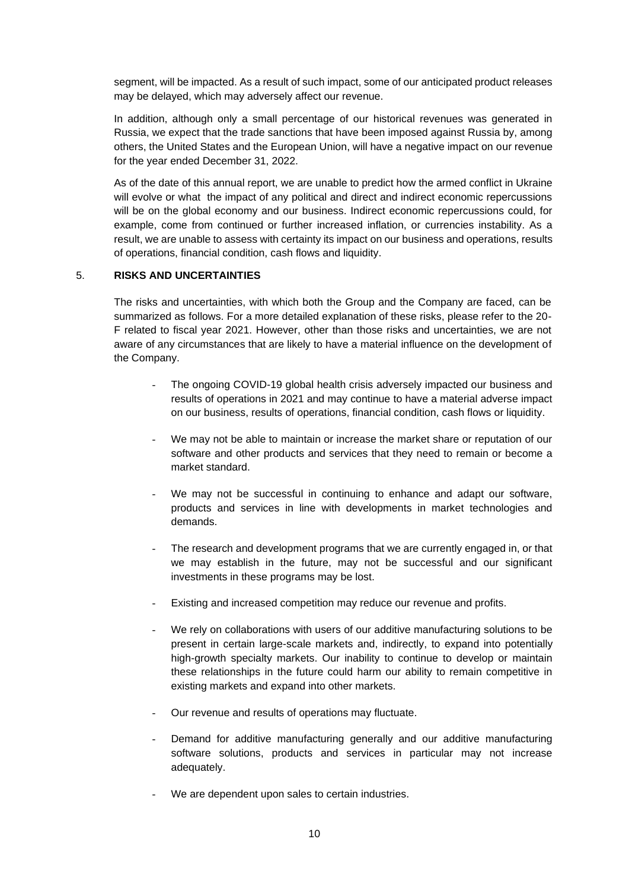segment, will be impacted. As a result of such impact, some of our anticipated product releases may be delayed, which may adversely affect our revenue.

In addition, although only a small percentage of our historical revenues was generated in Russia, we expect that the trade sanctions that have been imposed against Russia by, among others, the United States and the European Union, will have a negative impact on our revenue for the year ended December 31, 2022.

As of the date of this annual report, we are unable to predict how the armed conflict in Ukraine will evolve or what the impact of any political and direct and indirect economic repercussions will be on the global economy and our business. Indirect economic repercussions could, for example, come from continued or further increased inflation, or currencies instability. As a result, we are unable to assess with certainty its impact on our business and operations, results of operations, financial condition, cash flows and liquidity.

## 5. **RISKS AND UNCERTAINTIES**

The risks and uncertainties, with which both the Group and the Company are faced, can be summarized as follows. For a more detailed explanation of these risks, please refer to the 20- F related to fiscal year 2021. However, other than those risks and uncertainties, we are not aware of any circumstances that are likely to have a material influence on the development of the Company.

- The ongoing COVID-19 global health crisis adversely impacted our business and results of operations in 2021 and may continue to have a material adverse impact on our business, results of operations, financial condition, cash flows or liquidity.
- We may not be able to maintain or increase the market share or reputation of our software and other products and services that they need to remain or become a market standard.
- We may not be successful in continuing to enhance and adapt our software, products and services in line with developments in market technologies and demands.
- The research and development programs that we are currently engaged in, or that we may establish in the future, may not be successful and our significant investments in these programs may be lost.
- Existing and increased competition may reduce our revenue and profits.
- We rely on collaborations with users of our additive manufacturing solutions to be present in certain large-scale markets and, indirectly, to expand into potentially high-growth specialty markets. Our inability to continue to develop or maintain these relationships in the future could harm our ability to remain competitive in existing markets and expand into other markets.
- Our revenue and results of operations may fluctuate.
- Demand for additive manufacturing generally and our additive manufacturing software solutions, products and services in particular may not increase adequately.
- We are dependent upon sales to certain industries.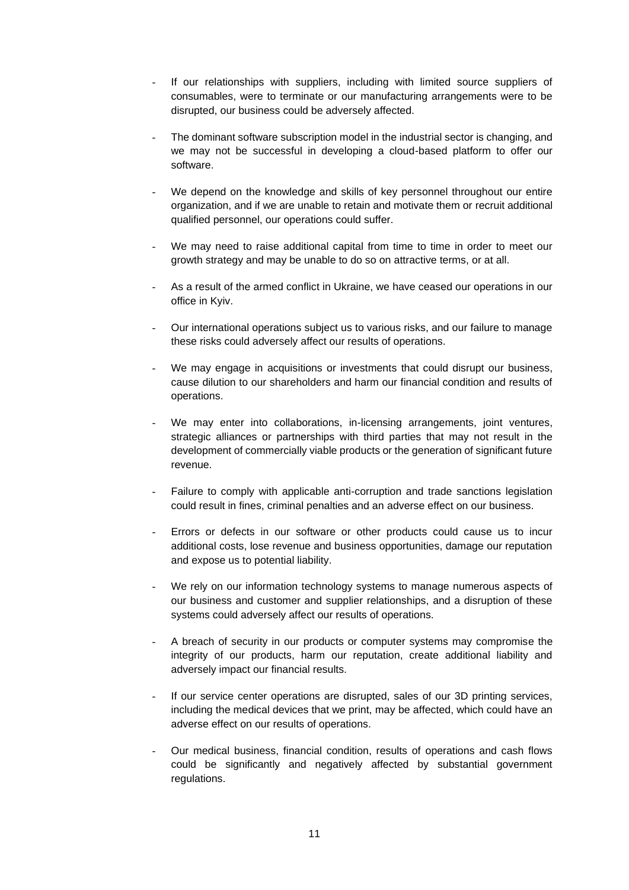- If our relationships with suppliers, including with limited source suppliers of consumables, were to terminate or our manufacturing arrangements were to be disrupted, our business could be adversely affected.
- The dominant software subscription model in the industrial sector is changing, and we may not be successful in developing a cloud-based platform to offer our software.
- We depend on the knowledge and skills of key personnel throughout our entire organization, and if we are unable to retain and motivate them or recruit additional qualified personnel, our operations could suffer.
- We may need to raise additional capital from time to time in order to meet our growth strategy and may be unable to do so on attractive terms, or at all.
- As a result of the armed conflict in Ukraine, we have ceased our operations in our office in Kyiv.
- Our international operations subject us to various risks, and our failure to manage these risks could adversely affect our results of operations.
- We may engage in acquisitions or investments that could disrupt our business, cause dilution to our shareholders and harm our financial condition and results of operations.
- We may enter into collaborations, in-licensing arrangements, joint ventures, strategic alliances or partnerships with third parties that may not result in the development of commercially viable products or the generation of significant future revenue.
- Failure to comply with applicable anti-corruption and trade sanctions legislation could result in fines, criminal penalties and an adverse effect on our business.
- Errors or defects in our software or other products could cause us to incur additional costs, lose revenue and business opportunities, damage our reputation and expose us to potential liability.
- We rely on our information technology systems to manage numerous aspects of our business and customer and supplier relationships, and a disruption of these systems could adversely affect our results of operations.
- A breach of security in our products or computer systems may compromise the integrity of our products, harm our reputation, create additional liability and adversely impact our financial results.
- If our service center operations are disrupted, sales of our 3D printing services, including the medical devices that we print, may be affected, which could have an adverse effect on our results of operations.
- Our medical business, financial condition, results of operations and cash flows could be significantly and negatively affected by substantial government regulations.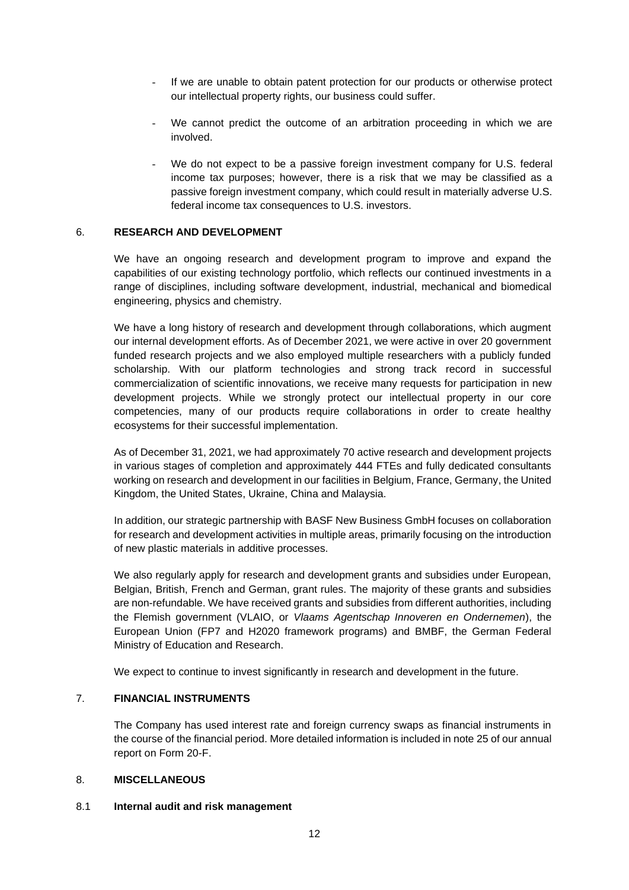- If we are unable to obtain patent protection for our products or otherwise protect our intellectual property rights, our business could suffer.
- We cannot predict the outcome of an arbitration proceeding in which we are involved.
- We do not expect to be a passive foreign investment company for U.S. federal income tax purposes; however, there is a risk that we may be classified as a passive foreign investment company, which could result in materially adverse U.S. federal income tax consequences to U.S. investors.

### 6. **RESEARCH AND DEVELOPMENT**

We have an ongoing research and development program to improve and expand the capabilities of our existing technology portfolio, which reflects our continued investments in a range of disciplines, including software development, industrial, mechanical and biomedical engineering, physics and chemistry.

We have a long history of research and development through collaborations, which augment our internal development efforts. As of December 2021, we were active in over 20 government funded research projects and we also employed multiple researchers with a publicly funded scholarship. With our platform technologies and strong track record in successful commercialization of scientific innovations, we receive many requests for participation in new development projects. While we strongly protect our intellectual property in our core competencies, many of our products require collaborations in order to create healthy ecosystems for their successful implementation.

As of December 31, 2021, we had approximately 70 active research and development projects in various stages of completion and approximately 444 FTEs and fully dedicated consultants working on research and development in our facilities in Belgium, France, Germany, the United Kingdom, the United States, Ukraine, China and Malaysia.

In addition, our strategic partnership with BASF New Business GmbH focuses on collaboration for research and development activities in multiple areas, primarily focusing on the introduction of new plastic materials in additive processes.

We also regularly apply for research and development grants and subsidies under European, Belgian, British, French and German, grant rules. The majority of these grants and subsidies are non-refundable. We have received grants and subsidies from different authorities, including the Flemish government (VLAIO, or *Vlaams Agentschap Innoveren en Ondernemen*), the European Union (FP7 and H2020 framework programs) and BMBF, the German Federal Ministry of Education and Research.

We expect to continue to invest significantly in research and development in the future.

## 7. **FINANCIAL INSTRUMENTS**

The Company has used interest rate and foreign currency swaps as financial instruments in the course of the financial period. More detailed information is included in note 25 of our annual report on Form 20-F.

### 8. **MISCELLANEOUS**

### 8.1 **Internal audit and risk management**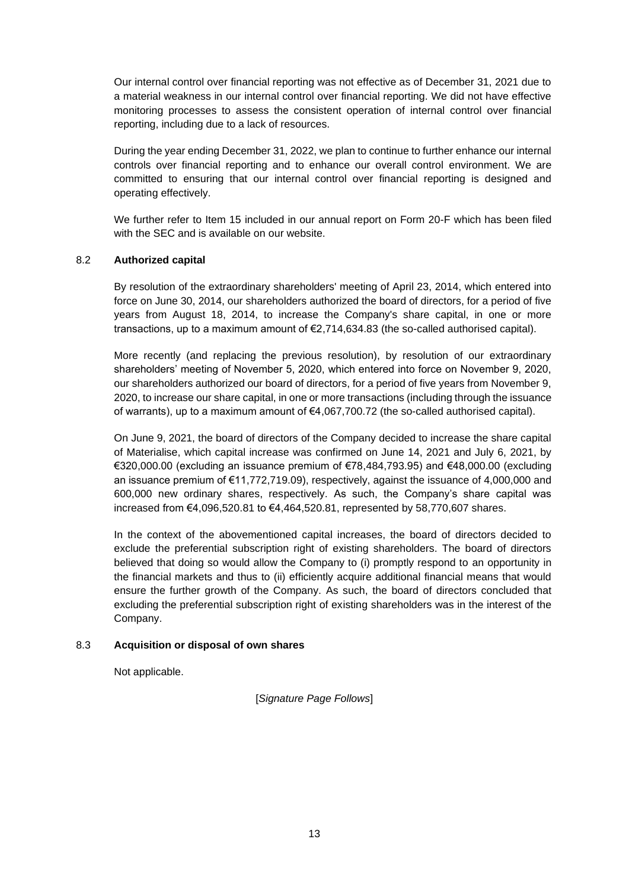Our internal control over financial reporting was not effective as of December 31, 2021 due to a material weakness in our internal control over financial reporting. We did not have effective monitoring processes to assess the consistent operation of internal control over financial reporting, including due to a lack of resources.

During the year ending December 31, 2022, we plan to continue to further enhance our internal controls over financial reporting and to enhance our overall control environment. We are committed to ensuring that our internal control over financial reporting is designed and operating effectively.

We further refer to Item 15 included in our annual report on Form 20-F which has been filed with the SEC and is available on our website.

## 8.2 **Authorized capital**

By resolution of the extraordinary shareholders' meeting of April 23, 2014, which entered into force on June 30, 2014, our shareholders authorized the board of directors, for a period of five years from August 18, 2014, to increase the Company's share capital, in one or more transactions, up to a maximum amount of €2,714,634.83 (the so-called authorised capital).

More recently (and replacing the previous resolution), by resolution of our extraordinary shareholders' meeting of November 5, 2020, which entered into force on November 9, 2020, our shareholders authorized our board of directors, for a period of five years from November 9, 2020, to increase our share capital, in one or more transactions (including through the issuance of warrants), up to a maximum amount of €4,067,700.72 (the so-called authorised capital).

On June 9, 2021, the board of directors of the Company decided to increase the share capital of Materialise, which capital increase was confirmed on June 14, 2021 and July 6, 2021, by €320,000.00 (excluding an issuance premium of €78,484,793.95) and €48,000.00 (excluding an issuance premium of €11,772,719.09), respectively, against the issuance of 4,000,000 and 600,000 new ordinary shares, respectively. As such, the Company's share capital was increased from €4,096,520.81 to €4,464,520.81, represented by 58,770,607 shares.

In the context of the abovementioned capital increases, the board of directors decided to exclude the preferential subscription right of existing shareholders. The board of directors believed that doing so would allow the Company to (i) promptly respond to an opportunity in the financial markets and thus to (ii) efficiently acquire additional financial means that would ensure the further growth of the Company. As such, the board of directors concluded that excluding the preferential subscription right of existing shareholders was in the interest of the Company.

## 8.3 **Acquisition or disposal of own shares**

Not applicable.

[*Signature Page Follows*]